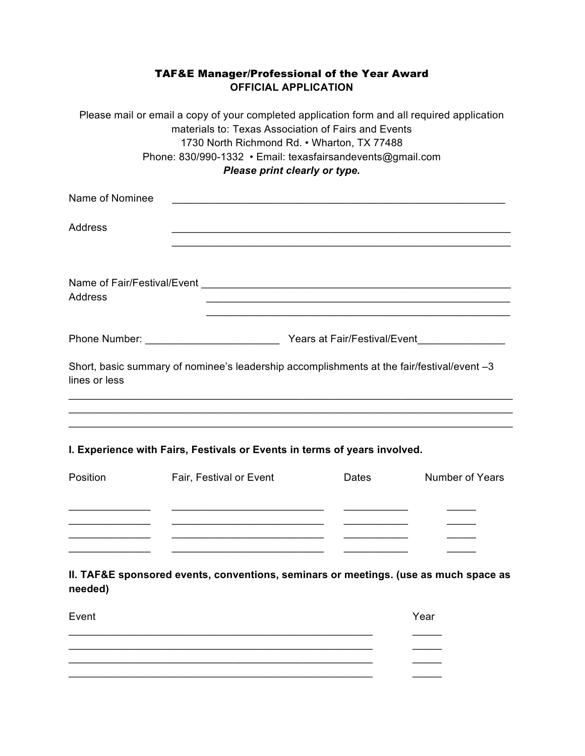## TAF&E Manager/Professional of the Year Award **OFFICIAL APPLICATION**

|                 | Please mail or email a copy of your completed application form and all required application<br>materials to: Texas Association of Fairs and Events<br>1730 North Richmond Rd. . Wharton, TX 77488<br>Phone: 830/990-1332 · Email: texasfairsandevents@gmail.com<br>Please print clearly or type. |              |                        |
|-----------------|--------------------------------------------------------------------------------------------------------------------------------------------------------------------------------------------------------------------------------------------------------------------------------------------------|--------------|------------------------|
| Name of Nominee | <u> 1989 - Johann John Stone, mars et al. 1989 - John Stone, mars et al. 1989 - John Stone, mars et al. 1989 - John Stone</u>                                                                                                                                                                    |              |                        |
| Address         |                                                                                                                                                                                                                                                                                                  |              |                        |
| Address         |                                                                                                                                                                                                                                                                                                  |              |                        |
|                 |                                                                                                                                                                                                                                                                                                  |              |                        |
| lines or less   | Short, basic summary of nominee's leadership accomplishments at the fair/festival/event -3                                                                                                                                                                                                       |              |                        |
|                 |                                                                                                                                                                                                                                                                                                  |              |                        |
|                 | I. Experience with Fairs, Festivals or Events in terms of years involved.                                                                                                                                                                                                                        |              |                        |
| Position        | Fair, Festival or Event                                                                                                                                                                                                                                                                          | <b>Dates</b> | <b>Number of Years</b> |
|                 |                                                                                                                                                                                                                                                                                                  |              |                        |
|                 |                                                                                                                                                                                                                                                                                                  |              |                        |
| needed)         | II. TAF&E sponsored events, conventions, seminars or meetings. (use as much space as                                                                                                                                                                                                             |              |                        |
| Event           |                                                                                                                                                                                                                                                                                                  |              | Year                   |
|                 |                                                                                                                                                                                                                                                                                                  |              |                        |

 $\_$